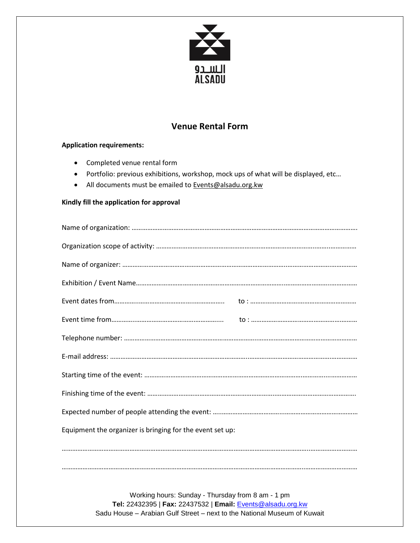

# **Venue Rental Form**

## **Application requirements:**

- Completed venue rental form
- Portfolio: previous exhibitions, workshop, mock ups of what will be displayed, etc…
- All documents must be emailed to Events@alsadu.org.kw

### **Kindly fill the application for approval**

| Equipment the organizer is bringing for the event set up: |  |  |  |
|-----------------------------------------------------------|--|--|--|
|                                                           |  |  |  |
|                                                           |  |  |  |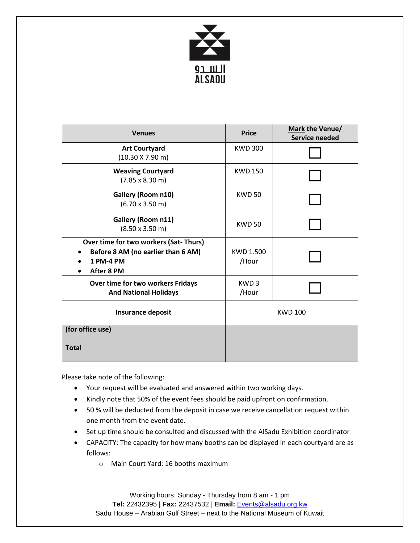

| <b>Venues</b>                                                                                          | <b>Price</b>              | Mark the Venue/<br><b>Service needed</b> |
|--------------------------------------------------------------------------------------------------------|---------------------------|------------------------------------------|
| <b>Art Courtyard</b><br>$(10.30 \times 7.90 \text{ m})$                                                | <b>KWD 300</b>            |                                          |
| <b>Weaving Courtyard</b><br>$(7.85 \times 8.30 \text{ m})$                                             | <b>KWD 150</b>            |                                          |
| Gallery (Room n10)<br>$(6.70 \times 3.50 \text{ m})$                                                   | <b>KWD 50</b>             |                                          |
| Gallery (Room n11)<br>$(8.50 \times 3.50 \text{ m})$                                                   | <b>KWD 50</b>             |                                          |
| Over time for two workers (Sat-Thurs)<br>Before 8 AM (no earlier than 6 AM)<br>1 PM-4 PM<br>After 8 PM | <b>KWD 1.500</b><br>/Hour |                                          |
| Over time for two workers Fridays<br><b>And National Holidays</b>                                      | KWD <sub>3</sub><br>/Hour |                                          |
| <b>Insurance deposit</b>                                                                               | <b>KWD 100</b>            |                                          |
| (for office use)                                                                                       |                           |                                          |
| <b>Total</b>                                                                                           |                           |                                          |

Please take note of the following:

- Your request will be evaluated and answered within two working days.
- Kindly note that 50% of the event fees should be paid upfront on confirmation.
- 50 % will be deducted from the deposit in case we receive cancellation request within one month from the event date.
- Set up time should be consulted and discussed with the AlSadu Exhibition coordinator
- CAPACITY: The capacity for how many booths can be displayed in each courtyard are as follows:
	- o Main Court Yard: 16 booths maximum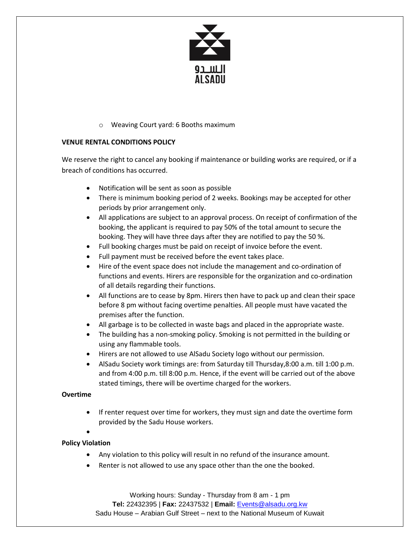

## o Weaving Court yard: 6 Booths maximum

### **VENUE RENTAL CONDITIONS POLICY**

We reserve the right to cancel any booking if maintenance or building works are required, or if a breach of conditions has occurred.

- Notification will be sent as soon as possible
- There is minimum booking period of 2 weeks. Bookings may be accepted for other periods by prior arrangement only.
- All applications are subject to an approval process. On receipt of confirmation of the booking, the applicant is required to pay 50% of the total amount to secure the booking. They will have three days after they are notified to pay the 50 %.
- Full booking charges must be paid on receipt of invoice before the event.
- Full payment must be received before the event takes place.
- Hire of the event space does not include the management and co-ordination of functions and events. Hirers are responsible for the organization and co-ordination of all details regarding their functions.
- All functions are to cease by 8pm. Hirers then have to pack up and clean their space before 8 pm without facing overtime penalties. All people must have vacated the premises after the function.
- All garbage is to be collected in waste bags and placed in the appropriate waste.
- The building has a non-smoking policy. Smoking is not permitted in the building or using any flammable tools.
- Hirers are not allowed to use AlSadu Society logo without our permission.
- AlSadu Society work timings are: from Saturday till Thursday,8:00 a.m. till 1:00 p.m. and from 4:00 p.m. till 8:00 p.m. Hence, if the event will be carried out of the above stated timings, there will be overtime charged for the workers.

## **Overtime**

- If renter request over time for workers, they must sign and date the overtime form provided by the Sadu House workers.
- $\bullet$

## **Policy Violation**

- Any violation to this policy will result in no refund of the insurance amount.
- Renter is not allowed to use any space other than the one the booked.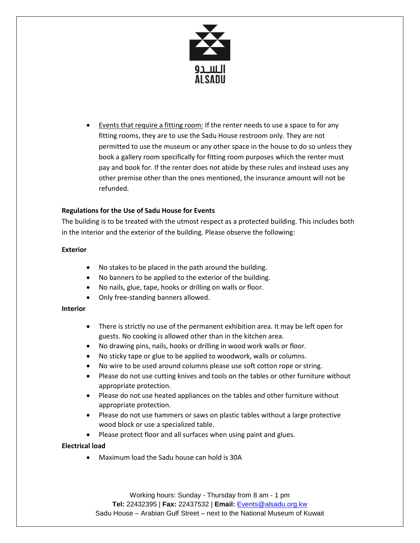

Events that require a fitting room: If the renter needs to use a space to for any fitting rooms, they are to use the Sadu House restroom only. They are not permitted to use the museum or any other space in the house to do so unless they book a gallery room specifically for fitting room purposes which the renter must pay and book for. If the renter does not abide by these rules and instead uses any other premise other than the ones mentioned, the insurance amount will not be refunded.

#### **Regulations for the Use of Sadu House for Events**

The building is to be treated with the utmost respect as a protected building. This includes both in the interior and the exterior of the building. Please observe the following:

#### **Exterior**

- No stakes to be placed in the path around the building.
- No banners to be applied to the exterior of the building.
- No nails, glue, tape, hooks or drilling on walls or floor.
- Only free-standing banners allowed.

#### **Interior**

- There is strictly no use of the permanent exhibition area. It may be left open for guests. No cooking is allowed other than in the kitchen area.
- No drawing pins, nails, hooks or drilling in wood work walls or floor.
- No sticky tape or glue to be applied to woodwork, walls or columns.
- No wire to be used around columns please use soft cotton rope or string.
- Please do not use cutting knives and tools on the tables or other furniture without appropriate protection.
- Please do not use heated appliances on the tables and other furniture without appropriate protection.
- Please do not use hammers or saws on plastic tables without a large protective wood block or use a specialized table.
- Please protect floor and all surfaces when using paint and glues.

## **Electrical load**

Maximum load the Sadu house can hold is 30A